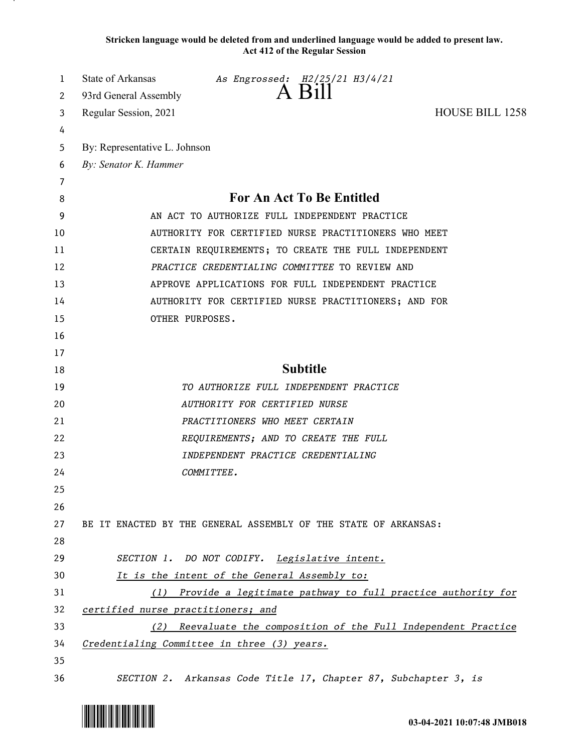**Stricken language would be deleted from and underlined language would be added to present law. Act 412 of the Regular Session**

| 1      | State of Arkansas<br>As Engrossed: H2/25/21 H3/4/21<br>93rd General Assembly |
|--------|------------------------------------------------------------------------------|
| 2      | <b>HOUSE BILL 1258</b><br>Regular Session, 2021                              |
| 3<br>4 |                                                                              |
| 5      | By: Representative L. Johnson                                                |
| 6      | By: Senator K. Hammer                                                        |
| 7      |                                                                              |
| 8      | For An Act To Be Entitled                                                    |
| 9      | AN ACT TO AUTHORIZE FULL INDEPENDENT PRACTICE                                |
| 10     | AUTHORITY FOR CERTIFIED NURSE PRACTITIONERS WHO MEET                         |
| 11     | CERTAIN REQUIREMENTS; TO CREATE THE FULL INDEPENDENT                         |
| 12     | PRACTICE CREDENTIALING COMMITTEE TO REVIEW AND                               |
| 13     | APPROVE APPLICATIONS FOR FULL INDEPENDENT PRACTICE                           |
| 14     | AUTHORITY FOR CERTIFIED NURSE PRACTITIONERS; AND FOR                         |
| 15     | OTHER PURPOSES.                                                              |
| 16     |                                                                              |
| 17     |                                                                              |
| 18     | <b>Subtitle</b>                                                              |
| 19     | TO AUTHORIZE FULL INDEPENDENT PRACTICE                                       |
| 20     | AUTHORITY FOR CERTIFIED NURSE                                                |
| 21     | PRACTITIONERS WHO MEET CERTAIN                                               |
| 22     | REQUIREMENTS; AND TO CREATE THE FULL                                         |
| 23     | INDEPENDENT PRACTICE CREDENTIALING                                           |
| 24     | COMMITTEE.                                                                   |
| 25     |                                                                              |
| 26     |                                                                              |
| 27     | BE IT ENACTED BY THE GENERAL ASSEMBLY OF THE STATE OF ARKANSAS:              |
| 28     |                                                                              |
| 29     | SECTION 1. DO NOT CODIFY. Legislative intent.                                |
| 30     | It is the intent of the General Assembly to:                                 |
| 31     | (1) Provide a legitimate pathway to full practice authority for              |
| 32     | certified nurse practitioners; and                                           |
| 33     | Reevaluate the composition of the Full Independent Practice<br>(2)           |
| 34     | Credentialing Committee in three (3) years.                                  |
| 35     |                                                                              |
| 36     | SECTION 2. Arkansas Code Title 17, Chapter 87, Subchapter 3, is              |

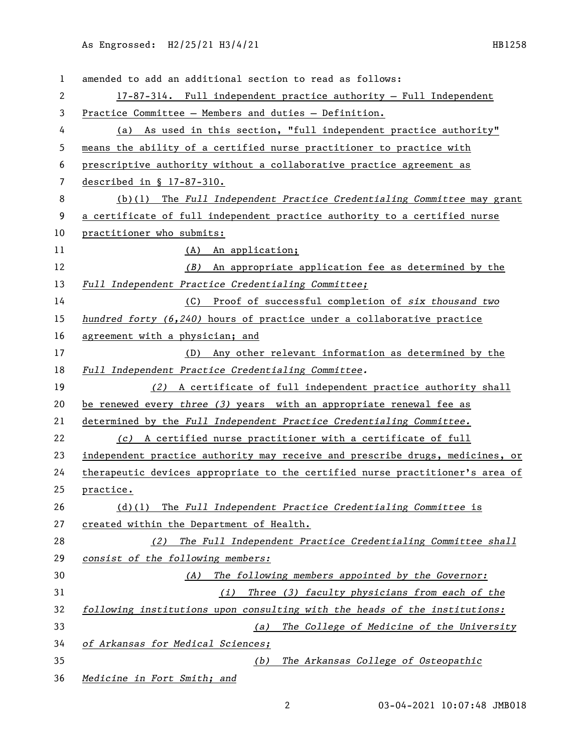| $\mathbf 1$ | amended to add an additional section to read as follows:                      |
|-------------|-------------------------------------------------------------------------------|
| 2           | 17-87-314. Full independent practice authority - Full Independent             |
| 3           | Practice Committee - Members and duties - Definition.                         |
| 4           | (a) As used in this section, "full independent practice authority"            |
| 5           | means the ability of a certified nurse practitioner to practice with          |
| 6           | prescriptive authority without a collaborative practice agreement as          |
| 7           | described in $$17-87-310.$                                                    |
| 8           | $(b)(1)$ The Full Independent Practice Credentialing Committee may grant      |
| 9           | a certificate of full independent practice authority to a certified nurse     |
| 10          | practitioner who submits:                                                     |
| 11          | (A) An application;                                                           |
| 12          | An appropriate application fee as determined by the<br>(B)                    |
| 13          | Full Independent Practice Credentialing Committee;                            |
| 14          | Proof of successful completion of six thousand two<br>(C)                     |
| 15          | hundred forty $(6,240)$ hours of practice under a collaborative practice      |
| 16          | agreement with a physician; and                                               |
| 17          | (D) Any other relevant information as determined by the                       |
| 18          | Full Independent Practice Credentialing Committee.                            |
| 19          | (2) A certificate of full independent practice authority shall                |
| 20          | be renewed every three (3) years with an appropriate renewal fee as           |
| 21          | determined by the Full Independent Practice Credentialing Committee.          |
| 22          | (c) A certified nurse practitioner with a certificate of full                 |
| 23          | independent practice authority may receive and prescribe drugs, medicines, or |
| 24          | therapeutic devices appropriate to the certified nurse practitioner's area of |
| 25          | <u>practice.</u>                                                              |
| 26          | $(d)(1)$ The Full Independent Practice Credentialing Committee is             |
| 27          | created within the Department of Health.                                      |
| 28          | The Full Independent Practice Credentialing Committee shall<br>(2)            |
| 29          | consist of the following members:                                             |
| 30          | The following members appointed by the Governor:<br>(A)                       |
| 31          | Three (3) faculty physicians from each of the<br>(i)                          |
| 32          | following institutions upon consulting with the heads of the institutions:    |
| 33          | The College of Medicine of the University<br>(a)                              |
| 34          | of Arkansas for Medical Sciences;                                             |
| 35          | The Arkansas College of Osteopathic<br>(b)                                    |
| 36          | Medicine in Fort Smith; and                                                   |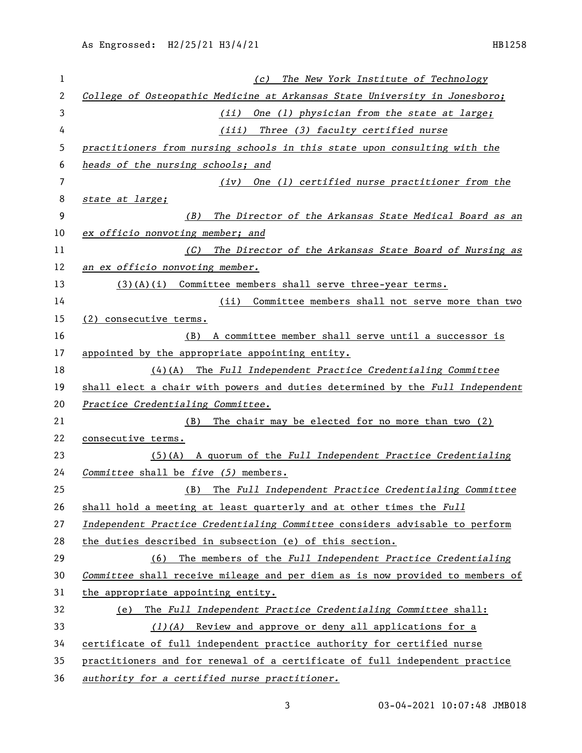| 1  | (c) The New York Institute of Technology                                      |
|----|-------------------------------------------------------------------------------|
| 2  | College of Osteopathic Medicine at Arkansas State University in Jonesboro;    |
| 3  | (ii) One (1) physician from the state at large;                               |
| 4  | (iii) Three (3) faculty certified nurse                                       |
| 5  | practitioners from nursing schools in this state upon consulting with the     |
| 6  | heads of the nursing schools; and                                             |
| 7  | One (1) certified nurse practitioner from the<br>(iv)                         |
| 8  | state at large;                                                               |
| 9  | The Director of the Arkansas State Medical Board as an<br>(B)                 |
| 10 | ex officio nonvoting member; and                                              |
| 11 | The Director of the Arkansas State Board of Nursing as<br>(C)                 |
| 12 | an ex officio nonvoting member.                                               |
| 13 | $(3)(A)(i)$ Committee members shall serve three-year terms.                   |
| 14 | (ii) Committee members shall not serve more than two                          |
| 15 | (2) consecutive terms.                                                        |
| 16 | A committee member shall serve until a successor is<br>(B)                    |
| 17 | appointed by the appropriate appointing entity.                               |
| 18 | $(4)$ (A) The Full Independent Practice Credentialing Committee               |
| 19 | shall elect a chair with powers and duties determined by the Full Independent |
| 20 | Practice Credentialing Committee.                                             |
| 21 | The chair may be elected for no more than two (2)<br>(B)                      |
| 22 | consecutive terms.                                                            |
| 23 | A quorum of the Full Independent Practice Credentialing<br>(5)(A)             |
| 24 | Committee shall be five (5) members.                                          |
| 25 | The Full Independent Practice Credentialing Committee<br>(B)                  |
| 26 | shall hold a meeting at least quarterly and at other times the Full           |
| 27 | Independent Practice Credentialing Committee considers advisable to perform   |
| 28 | the duties described in subsection (e) of this section.                       |
| 29 | (6) The members of the Full Independent Practice Credentialing                |
| 30 | Committee shall receive mileage and per diem as is now provided to members of |
| 31 | the appropriate appointing entity.                                            |
| 32 | The Full Independent Practice Credentialing Committee shall:<br>(e)           |
| 33 | $(1)(A)$ Review and approve or deny all applications for a                    |
| 34 | certificate of full independent practice authority for certified nurse        |
| 35 | practitioners and for renewal of a certificate of full independent practice   |
| 36 | authority for a certified nurse practitioner.                                 |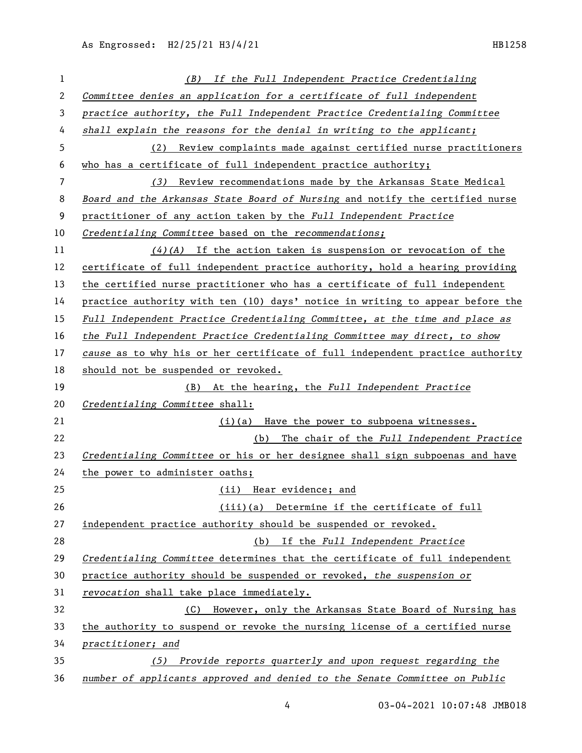| 1  | (B) If the Full Independent Practice Credentialing                            |
|----|-------------------------------------------------------------------------------|
| 2  | Committee denies an application for a certificate of full independent         |
| 3  | practice authority, the Full Independent Practice Credentialing Committee     |
| 4  | shall explain the reasons for the denial in writing to the applicant;         |
| 5  | (2) Review complaints made against certified nurse practitioners              |
| 6  | who has a certificate of full independent practice authority;                 |
| 7  | (3) Review recommendations made by the Arkansas State Medical                 |
| 8  | Board and the Arkansas State Board of Nursing and notify the certified nurse  |
| 9  | practitioner of any action taken by the Full Independent Practice             |
| 10 | Credentialing Committee based on the recommendations;                         |
| 11 | $(4)(A)$ If the action taken is suspension or revocation of the               |
| 12 | certificate of full independent practice authority, hold a hearing providing  |
| 13 | the certified nurse practitioner who has a certificate of full independent    |
| 14 | practice authority with ten (10) days' notice in writing to appear before the |
| 15 | Full Independent Practice Credentialing Committee, at the time and place as   |
| 16 | the Full Independent Practice Credentialing Committee may direct, to show     |
| 17 | cause as to why his or her certificate of full independent practice authority |
| 18 | should not be suspended or revoked.                                           |
| 19 | (B) At the hearing, the Full Independent Practice                             |
| 20 | Credentialing Committee shall:                                                |
| 21 | (i)(a) Have the power to subpoena witnesses.                                  |
| 22 | The chair of the Full Independent Practice<br>(b)                             |
| 23 | Credentialing Committee or his or her designee shall sign subpoenas and have  |
| 24 | the power to administer oaths;                                                |
| 25 | (ii) Hear evidence; and                                                       |
| 26 | (iii)(a) Determine if the certificate of full                                 |
| 27 | independent practice authority should be suspended or revoked.                |
| 28 | (b) If the Full Independent Practice                                          |
| 29 | Credentialing Committee determines that the certificate of full independent   |
| 30 | practice authority should be suspended or revoked, the suspension or          |
| 31 | revocation shall take place immediately.                                      |
| 32 | However, only the Arkansas State Board of Nursing has<br>(C)                  |
| 33 | the authority to suspend or revoke the nursing license of a certified nurse   |
| 34 | practitioner; and                                                             |
| 35 | (5) Provide reports quarterly and upon request regarding the                  |
| 36 | number of applicants approved and denied to the Senate Committee on Public    |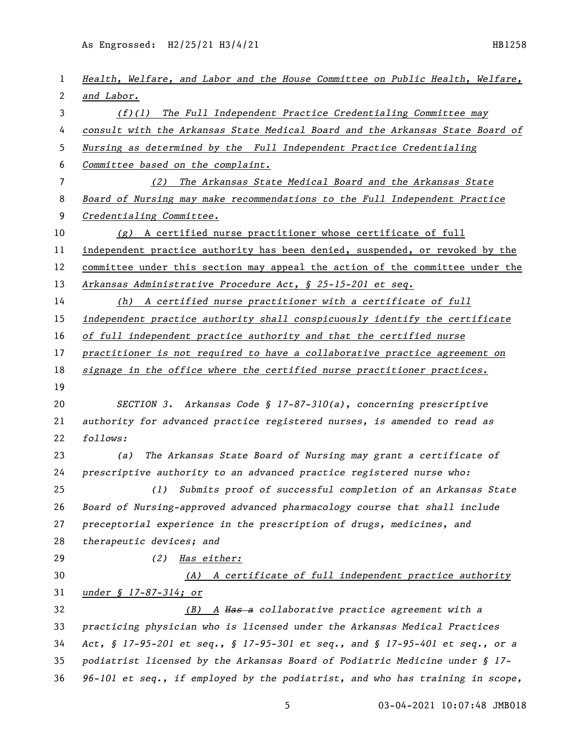As Engrossed: H2/25/21 H3/4/21 HB1258

| 1  | Health, Welfare, and Labor and the House Committee on Public Health, Welfare, |
|----|-------------------------------------------------------------------------------|
| 2  | and Labor.                                                                    |
| 3  | $(f)(1)$ The Full Independent Practice Credentialing Committee may            |
| 4  | consult with the Arkansas State Medical Board and the Arkansas State Board of |
| 5  | Nursing as determined by the Full Independent Practice Credentialing          |
| 6  | Committee based on the complaint.                                             |
| 7  | The Arkansas State Medical Board and the Arkansas State<br>(2)                |
| 8  | Board of Nursing may make recommendations to the Full Independent Practice    |
| 9  | Credentialing Committee.                                                      |
| 10 | $(g)$ A certified nurse practitioner whose certificate of full                |
| 11 | independent practice authority has been denied, suspended, or revoked by the  |
| 12 | committee under this section may appeal the action of the committee under the |
| 13 | Arkansas Administrative Procedure Act, § 25-15-201 et seq.                    |
| 14 | (h) A certified nurse practitioner with a certificate of full                 |
| 15 | independent practice authority shall conspicuously identify the certificate   |
| 16 | of full independent practice authority and that the certified nurse           |
| 17 | practitioner is not required to have a collaborative practice agreement on    |
| 18 | signage in the office where the certified nurse practitioner practices.       |
| 19 |                                                                               |
| 20 | SECTION 3. Arkansas Code § 17-87-310(a), concerning prescriptive              |
| 21 | authority for advanced practice registered nurses, is amended to read as      |
| 22 | follows:                                                                      |
| 23 | The Arkansas State Board of Nursing may grant a certificate of<br>(a)         |
| 24 | prescriptive authority to an advanced practice registered nurse who:          |
| 25 | Submits proof of successful completion of an Arkansas State<br>(1)            |
| 26 | Board of Nursing-approved advanced pharmacology course that shall include     |
| 27 | preceptorial experience in the prescription of drugs, medicines, and          |
| 28 | therapeutic devices; and                                                      |
| 29 | <u>Has either:</u><br>(2)                                                     |
| 30 | (A) A certificate of full independent practice authority                      |
| 31 | under § 17-87-314; or                                                         |
| 32 | (B) A Has a collaborative practice agreement with a                           |
| 33 | practicing physician who is licensed under the Arkansas Medical Practices     |
| 34 | Act, § 17-95-201 et seq., § 17-95-301 et seq., and § 17-95-401 et seq., or a  |
| 35 | podiatrist licensed by the Arkansas Board of Podiatric Medicine under § 17-   |
| 36 | 96-101 et seq., if employed by the podiatrist, and who has training in scope, |